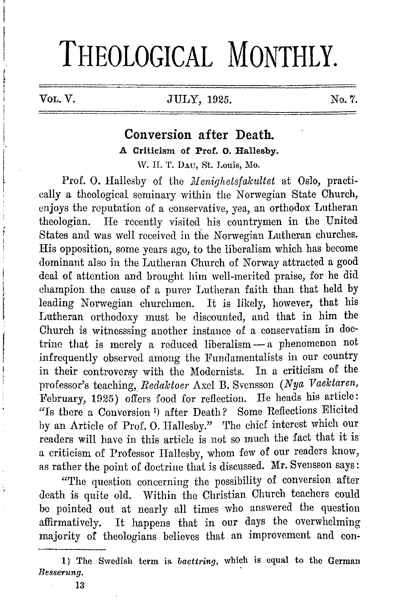# **THEOLOGICAL MONTHLY.**

## VoL.V. JULY, 1925.

No.7.

## **Conversion after Death. A Criticism of Prof. 0. Hallesby.**  \V. II. T. DAu, St. Louis, Mo.

Prof. O. Hallesby of the *Menighetsfakultet* at Oslo, practically a theological seminary within the Norwegian State Church, enjoys the reputation of a conservative, yea, an orthodox Lutheran theologian. He recently visited his countrymen in the United States and was well received in the Norwegian Lutheran churches. His opposition, some yenrs ago, to the liberalism which has become dominant also in the Lutheran Church of Norway attracted a good deal of attention and brought him well-merited praise, for he did champion the cause of a purer Lutheran faith than that held by leading Norwegian churchmen. It is likely, however, that his Lutheran orthodoxy must be discounted, and that in him the Church is witnesssing another instance of a conservatism in doctrine that is merely a reduced liberalism - a phenomenon not infrequently observed among the Fundamentalists in our country<br>in their controversy with the Modernists. In a criticism of the in their controversy with the Modernists. professor's teaching, *Redaktoer Axel B. Svensson (Nya Vaektaren,* February, 1925) offers food for reflection. He heads his article: "Is there a Conversion l) after Death? Some Reflections Elicited by an Article of Prof. 0. Hallesby." 'l'he chief interest which our readers will have in this article is not so much the fact that it is a criticism of Professor Hallesby, whom few of our readers know, as rather the point of doctrine that is discussed. **Mr.** Svensson says:

"The question concerning the possibility of conversion after death is quite old. Within the Christian Church teachers could be pointed out at nearly all times who answered the question affirmatively. It happens that in our days the overwhelming majority of theologians believes that an improvement and con-

I) The Swedish term is. *baettring,* which is equal to the German *Besserung.*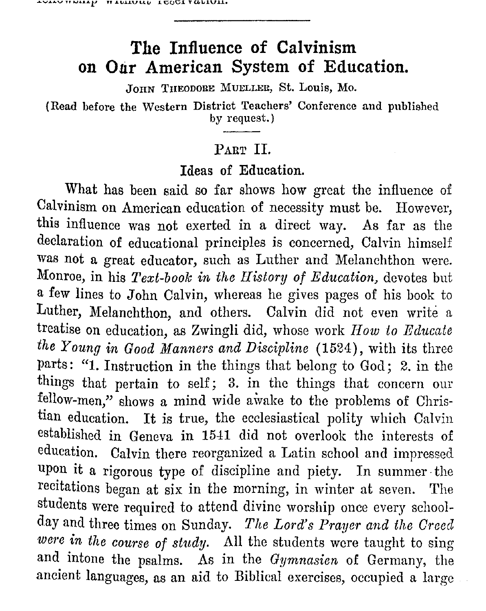**\_.\_..\_,..\_..\_.\_,u.\_, ... ..\_..\_!' H.LI.JJ..1.VU.ll .1.'C,Q'v.l l'UV.1.V.1..1.•** 

## **The Influence of Calvinism on Our American System of Education.**

JOHN THEODORE MUELLER, St. Louis, Mo.

(Read before the Western District Teachers' Conference and published by request.)

### PART II.

### Ideas of Education.

What has been said so far shows how great the influence of Calvinism on American education of necessity must be. However, this influence was not exerted in a direct way. As far as the declaration of educational principles is concerned, Calvin himself was not a great educator, such as Luther and Melanchthon were. Monroe, in his *Text-book in the History of Education,* devotes but a few lines to John Calvin, whereas he gives pages of his book to Luther, Melanchthon, and others. Calvin did not even write a treatise on education, as Zwingli did, whose work *How* to *Educate the Young in Good Manners and Discipline* (1524), with its three parts: "1. Instruction in the things that belong to God; 2. in the things that pertain to self; 3. in the things that concern our fellow-men," shows a mind wide awake to the problems of Christian education. It is true, the ecclesiastical polity which Calvin established in Geneva in 15-H did not overlook the interests of education. Calvin there reorganized a Latin school and impressed. upon it a rigorous type of discipline and piety. In summer· the recitations began at six in the morning, in winter at seven. The students were required to attend divine worship once every schoolday and three times on Sunday. *The Lord's Praver and the Creed*  were in the course of study. All the students were taught to sing and intone the psalms. As in the *Gymnasien* of Germany, the ancient languages, as an aid to Biblical exercises, occupied a large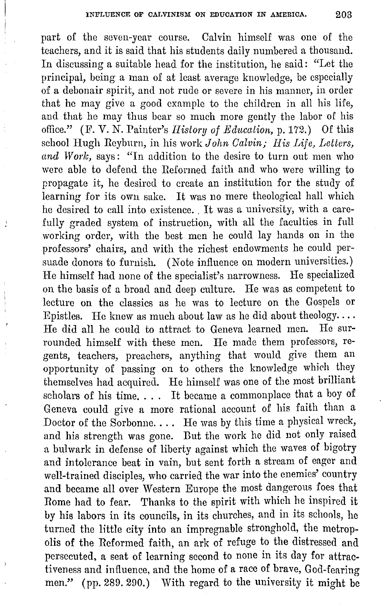part of the seven-year course. Calvin himself was one of the teachers, and it is said that his students daily numbered a thousand. In discussing a suitable head for the institution, he said: "Let the principal, being a man of at least average knowledge, be especially of a debonair spirit, and not rude or severe in his manner, in order that he may give a good example to the children in all his life, and that he may thus bear so much more gently the labor of his oflice." (F. V. *N.* Painter's *Ilislory of Education,* p. 172.) Of this school Hugh Reyburn, in his work *John Calvin; His Life, Letters, and Work,* says: "In addition to the desire to turn out men who were able to defend the Reformed faith and who were willing to propagate it, he desired to create an institution for the study of learning for its own sake. It was no mere theological hall which he desired to call into existence. It was a university, with a carefully graded system of instruction, with all the faculties in full working order, with the best men he could lay hands on in the professors' chairs, and with the richest endowments he could persuade donors to furnish. (Note influence on modern universities.) He himself had none of the specialist's narrowness. He specialized on the basis of a broad and deep culture. He was as competent to lecture on the classics as he was to lecture on the Gospels or Epistles. He knew as much about law as he did about theology....<br>He did all be could to attract to Gonova learned men. He sur-He did all he could to attract to Geneva learned men. rounded himself with these men. He made them professors, regents, teachers, preachers, anything that would give them an opportunity of passing on to others the knowledge which they themselves had acquired. He himself was one of the most brilliant scholars of his time. . . . It became a commonplace that a boy of Geneva could give a more rational account of his faith than a Doctor of the Sorbonne. . . . He was by this time a physical wreck, and his strength was gone. But the work he did not only raised a bulwark in defense of liberty against which the waves of bigotry and intolerance beat in vain, but sent forth a stream of eager and well-trained disciples, who carried the war into the enemies' country and became all over Western Europe the most dangerous foes that Rome had to fear. Thanks to the spirit with which he inspired it by his labors in its councils, in its churches, and in its schools, he turned the little city into an impregnable stronghold, the metropolis of the Reformed faith, an ark of refuge to the distressed and persecuted, a seat of learning second to none in its day for attractiveness and influence, and the home of a race of brave, God-fearing men." (pp. 289. 290.) With regard to the university it might be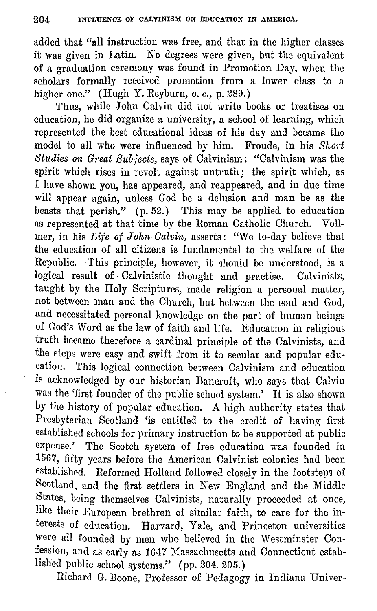added that "all instruction was free, and that in the higher classes it was given in Latin. No degrees were given, but the equivalent of a graduation ceremony was found in Promotion Day, when the scholars formally received promotion from a lower class to a higher one." (Hugh Y. Reyburn, *o. c.,* p. 289.)

Thus, while John Calvin did not write books or treatises on education, he did organize a university, a school of learning, which represented the best educational ideas of his day and became the model to all who were influenced by him. Froude, in his *Short Studies on Great Subjects,* says of Calvinism: "Calvinism was the spirit which rises in revolt against untruth; the spirit which, as I have shown you, has appeared, and reappeared, and in due time will appear again, unless God be a delusion and man be as the beasts that perish."  $(p. 52.)$  This may be applied to education as represented at that time by the Roman Catholic Church. Vollmer, in his *Life of John Galvin,* asserts: "We to-day believe that the education of all citizens is fundamental to the welfare of the Republic. This principle, however, it should be understood, is a logical result of Calvinistic thought and practise. Calvinists, taught by the Holy Scriptures, made religion a personal matter, not between man and the Church, but between the soul and God, and necessitated personal knowledge on the part of human beings of God's Word as the law of faith and life. Education in religious truth became therefore a cardinal principle of the Calvinists, and the steps were easy and swift from it to secular and popular education. This logical connection between Calvinism and education is acknowledged by our historian Bancroft, who says that Calvin was the 'first founder of the public school system.' It is also shown by the history of popular education. A high authority states that Presbyterian Scotland 'is entitled to the credit of having first established schools for primary instruction to be supported at public expense.' The Scotch system of free education was founded in 1567, fifty years before the American Calvinist colonies had been established. Reformed Holland followed closely in the footsteps of Scotland, and the first settlers in New England and the Middle States, being themselves Calvinists, naturally proceeded at once, like their European brethren of similar faith, to care for the interests of education. Harvard, Yale, and Princeton universities were all founded by men who believed in the Westminster Confession, and as early as 1647 Massachusetts and Connecticut established public school systems." (pp. 204. 205.)

Richard G. Boone, Professor of Pedagogy in Indiana Univer-